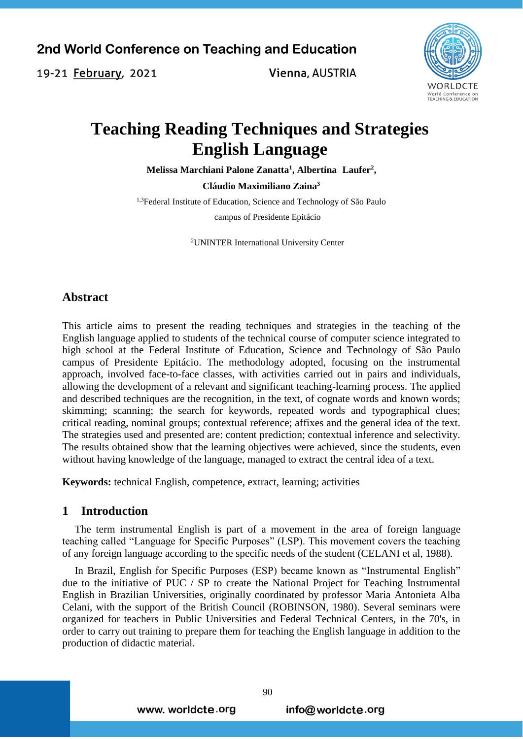19-21 February, 2021

Vienna, AUSTRIA



# **Teaching Reading Techniques and Strategies English Language**

**Melissa Marchiani Palone Zanatta<sup>1</sup> , Albertina Laufer<sup>2</sup> ,** 

**Cláudio Maximiliano Zaina<sup>3</sup>**

<sup>1,3</sup>Federal Institute of Education, Science and Technology of São Paulo campus of Presidente Epitácio

<sup>2</sup>UNINTER International University Center

# **Abstract**

This article aims to present the reading techniques and strategies in the teaching of the English language applied to students of the technical course of computer science integrated to high school at the Federal Institute of Education, Science and Technology of São Paulo campus of Presidente Epitácio. The methodology adopted, focusing on the instrumental approach, involved face-to-face classes, with activities carried out in pairs and individuals, allowing the development of a relevant and significant teaching-learning process. The applied and described techniques are the recognition, in the text, of cognate words and known words; skimming; scanning; the search for keywords, repeated words and typographical clues; critical reading, nominal groups; contextual reference; affixes and the general idea of the text. The strategies used and presented are: content prediction; contextual inference and selectivity. The results obtained show that the learning objectives were achieved, since the students, even without having knowledge of the language, managed to extract the central idea of a text.

**Keywords:** technical English, competence, extract, learning; activities

## **1 Introduction**

The term instrumental English is part of a movement in the area of foreign language teaching called "Language for Specific Purposes" (LSP). This movement covers the teaching of any foreign language according to the specific needs of the student (CELANI et al, 1988).

In Brazil, English for Specific Purposes (ESP) became known as "Instrumental English" due to the initiative of PUC / SP to create the National Project for Teaching Instrumental English in Brazilian Universities, originally coordinated by professor Maria Antonieta Alba Celani, with the support of the British Council (ROBINSON, 1980). Several seminars were organized for teachers in Public Universities and Federal Technical Centers, in the 70's, in order to carry out training to prepare them for teaching the English language in addition to the production of didactic material.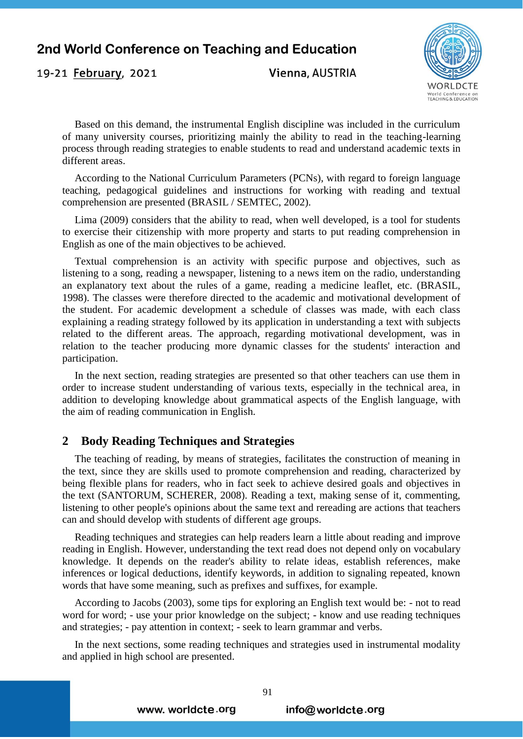19-21 February, 2021

Vienna, AUSTRIA



Based on this demand, the instrumental English discipline was included in the curriculum of many university courses, prioritizing mainly the ability to read in the teaching-learning process through reading strategies to enable students to read and understand academic texts in different areas.

According to the National Curriculum Parameters (PCNs), with regard to foreign language teaching, pedagogical guidelines and instructions for working with reading and textual comprehension are presented (BRASIL / SEMTEC, 2002).

Lima (2009) considers that the ability to read, when well developed, is a tool for students to exercise their citizenship with more property and starts to put reading comprehension in English as one of the main objectives to be achieved.

Textual comprehension is an activity with specific purpose and objectives, such as listening to a song, reading a newspaper, listening to a news item on the radio, understanding an explanatory text about the rules of a game, reading a medicine leaflet, etc. (BRASIL, 1998). The classes were therefore directed to the academic and motivational development of the student. For academic development a schedule of classes was made, with each class explaining a reading strategy followed by its application in understanding a text with subjects related to the different areas. The approach, regarding motivational development, was in relation to the teacher producing more dynamic classes for the students' interaction and participation.

In the next section, reading strategies are presented so that other teachers can use them in order to increase student understanding of various texts, especially in the technical area, in addition to developing knowledge about grammatical aspects of the English language, with the aim of reading communication in English.

## **2 Body Reading Techniques and Strategies**

The teaching of reading, by means of strategies, facilitates the construction of meaning in the text, since they are skills used to promote comprehension and reading, characterized by being flexible plans for readers, who in fact seek to achieve desired goals and objectives in the text (SANTORUM, SCHERER, 2008). Reading a text, making sense of it, commenting, listening to other people's opinions about the same text and rereading are actions that teachers can and should develop with students of different age groups.

Reading techniques and strategies can help readers learn a little about reading and improve reading in English. However, understanding the text read does not depend only on vocabulary knowledge. It depends on the reader's ability to relate ideas, establish references, make inferences or logical deductions, identify keywords, in addition to signaling repeated, known words that have some meaning, such as prefixes and suffixes, for example.

According to Jacobs (2003), some tips for exploring an English text would be: - not to read word for word; - use your prior knowledge on the subject; - know and use reading techniques and strategies; - pay attention in context; - seek to learn grammar and verbs.

In the next sections, some reading techniques and strategies used in instrumental modality and applied in high school are presented.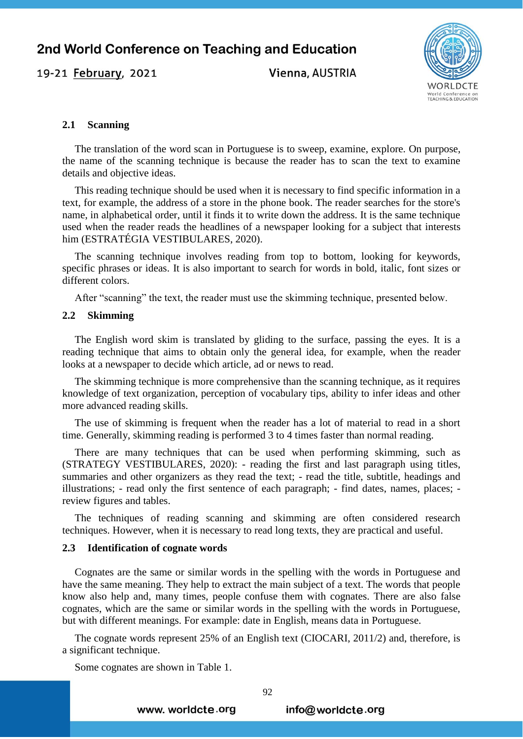19-21 February, 2021

Vienna, AUSTRIA



#### **2.1 Scanning**

The translation of the word scan in Portuguese is to sweep, examine, explore. On purpose, the name of the scanning technique is because the reader has to scan the text to examine details and objective ideas.

This reading technique should be used when it is necessary to find specific information in a text, for example, the address of a store in the phone book. The reader searches for the store's name, in alphabetical order, until it finds it to write down the address. It is the same technique used when the reader reads the headlines of a newspaper looking for a subject that interests him (ESTRATÉGIA VESTIBULARES, 2020).

The scanning technique involves reading from top to bottom, looking for keywords, specific phrases or ideas. It is also important to search for words in bold, italic, font sizes or different colors.

After "scanning" the text, the reader must use the skimming technique, presented below.

## **2.2 Skimming**

The English word skim is translated by gliding to the surface, passing the eyes. It is a reading technique that aims to obtain only the general idea, for example, when the reader looks at a newspaper to decide which article, ad or news to read.

The skimming technique is more comprehensive than the scanning technique, as it requires knowledge of text organization, perception of vocabulary tips, ability to infer ideas and other more advanced reading skills.

The use of skimming is frequent when the reader has a lot of material to read in a short time. Generally, skimming reading is performed 3 to 4 times faster than normal reading.

There are many techniques that can be used when performing skimming, such as (STRATEGY VESTIBULARES, 2020): - reading the first and last paragraph using titles, summaries and other organizers as they read the text; - read the title, subtitle, headings and illustrations; - read only the first sentence of each paragraph; - find dates, names, places; review figures and tables.

The techniques of reading scanning and skimming are often considered research techniques. However, when it is necessary to read long texts, they are practical and useful.

#### **2.3 Identification of cognate words**

Cognates are the same or similar words in the spelling with the words in Portuguese and have the same meaning. They help to extract the main subject of a text. The words that people know also help and, many times, people confuse them with cognates. There are also false cognates, which are the same or similar words in the spelling with the words in Portuguese, but with different meanings. For example: date in English, means data in Portuguese.

The cognate words represent 25% of an English text (CIOCARI, 2011/2) and, therefore, is a significant technique.

Some cognates are shown in Table 1.

www. worldcte.org

info@worldcte.org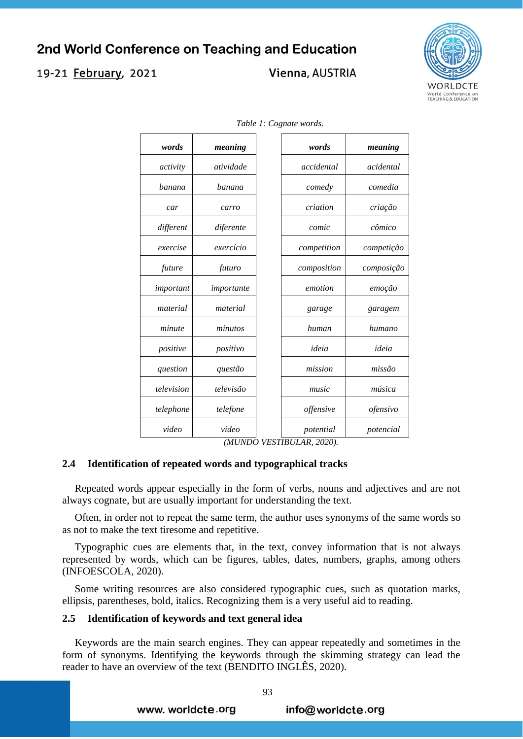# 19-21 February, 2021

# Vienna, AUSTRIA



| words      | meaning    | words       | meaning    |
|------------|------------|-------------|------------|
| activity   | atividade  | accidental  | acidental  |
| banana     | banana     | comedy      | comedia    |
| car        | carro      | criation    | criação    |
| different  | diferente  | comic       | cômico     |
| exercise   | exercício  | competition | competição |
| future     | futuro     | composition | composição |
| important  | importante | emotion     | emoção     |
| material   | material   | garage      | garagem    |
| minute     | minutos    | human       | humano     |
| positive   | positivo   | ideia       | ideia      |
| question   | questão    | mission     | missão     |
| television | televisão  | music       | música     |
| telephone  | telefone   | offensive   | ofensivo   |
| video      | video      | potential   | potencial  |

*Table 1: Cognate words.*

*(MUNDO VESTIBULAR, 2020).*

#### **2.4 Identification of repeated words and typographical tracks**

Repeated words appear especially in the form of verbs, nouns and adjectives and are not always cognate, but are usually important for understanding the text.

Often, in order not to repeat the same term, the author uses synonyms of the same words so as not to make the text tiresome and repetitive.

Typographic cues are elements that, in the text, convey information that is not always represented by words, which can be figures, tables, dates, numbers, graphs, among others (INFOESCOLA, 2020).

Some writing resources are also considered typographic cues, such as quotation marks, ellipsis, parentheses, bold, italics. Recognizing them is a very useful aid to reading.

#### **2.5 Identification of keywords and text general idea**

Keywords are the main search engines. They can appear repeatedly and sometimes in the form of synonyms. Identifying the keywords through the skimming strategy can lead the reader to have an overview of the text (BENDITO INGLÊS, 2020).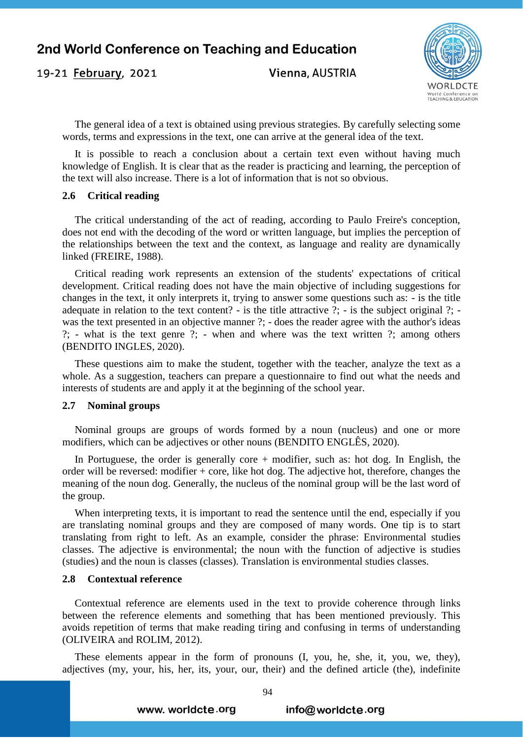19-21 February, 2021

Vienna, AUSTRIA



The general idea of a text is obtained using previous strategies. By carefully selecting some words, terms and expressions in the text, one can arrive at the general idea of the text.

It is possible to reach a conclusion about a certain text even without having much knowledge of English. It is clear that as the reader is practicing and learning, the perception of the text will also increase. There is a lot of information that is not so obvious.

#### **2.6 Critical reading**

The critical understanding of the act of reading, according to Paulo Freire's conception, does not end with the decoding of the word or written language, but implies the perception of the relationships between the text and the context, as language and reality are dynamically linked (FREIRE, 1988).

Critical reading work represents an extension of the students' expectations of critical development. Critical reading does not have the main objective of including suggestions for changes in the text, it only interprets it, trying to answer some questions such as: - is the title adequate in relation to the text content? - is the title attractive ?; - is the subject original ?; was the text presented in an objective manner ?; - does the reader agree with the author's ideas ?; - what is the text genre ?; - when and where was the text written ?; among others (BENDITO INGLES, 2020).

These questions aim to make the student, together with the teacher, analyze the text as a whole. As a suggestion, teachers can prepare a questionnaire to find out what the needs and interests of students are and apply it at the beginning of the school year.

#### **2.7 Nominal groups**

Nominal groups are groups of words formed by a noun (nucleus) and one or more modifiers, which can be adjectives or other nouns (BENDITO ENGLÊS, 2020).

In Portuguese, the order is generally core  $+$  modifier, such as: hot dog. In English, the order will be reversed: modifier + core, like hot dog. The adjective hot, therefore, changes the meaning of the noun dog. Generally, the nucleus of the nominal group will be the last word of the group.

When interpreting texts, it is important to read the sentence until the end, especially if you are translating nominal groups and they are composed of many words. One tip is to start translating from right to left. As an example, consider the phrase: Environmental studies classes. The adjective is environmental; the noun with the function of adjective is studies (studies) and the noun is classes (classes). Translation is environmental studies classes.

#### **2.8 Contextual reference**

Contextual reference are elements used in the text to provide coherence through links between the reference elements and something that has been mentioned previously. This avoids repetition of terms that make reading tiring and confusing in terms of understanding (OLIVEIRA and ROLIM, 2012).

These elements appear in the form of pronouns (I, you, he, she, it, you, we, they), adjectives (my, your, his, her, its, your, our, their) and the defined article (the), indefinite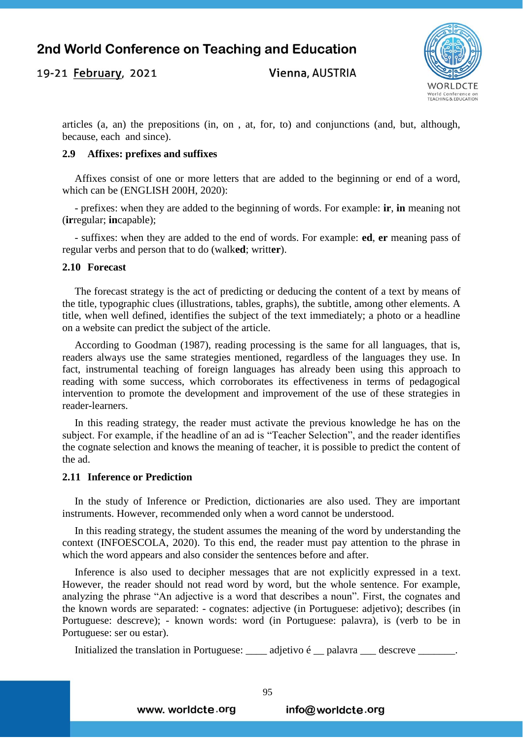Vienna, AUSTRIA



articles (a, an) the prepositions (in, on , at, for, to) and conjunctions (and, but, although, because, each and since).

## **2.9 Affixes: prefixes and suffixes**

Affixes consist of one or more letters that are added to the beginning or end of a word, which can be (ENGLISH 200H, 2020):

- prefixes: when they are added to the beginning of words. For example: **ir**, **in** meaning not (**ir**regular; **in**capable);

- suffixes: when they are added to the end of words. For example: **ed**, **er** meaning pass of regular verbs and person that to do (walk**ed**; writt**er**).

## **2.10 Forecast**

19-21 February, 2021

The forecast strategy is the act of predicting or deducing the content of a text by means of the title, typographic clues (illustrations, tables, graphs), the subtitle, among other elements. A title, when well defined, identifies the subject of the text immediately; a photo or a headline on a website can predict the subject of the article.

According to Goodman (1987), reading processing is the same for all languages, that is, readers always use the same strategies mentioned, regardless of the languages they use. In fact, instrumental teaching of foreign languages has already been using this approach to reading with some success, which corroborates its effectiveness in terms of pedagogical intervention to promote the development and improvement of the use of these strategies in reader-learners.

In this reading strategy, the reader must activate the previous knowledge he has on the subject. For example, if the headline of an ad is "Teacher Selection", and the reader identifies the cognate selection and knows the meaning of teacher, it is possible to predict the content of the ad.

## **2.11 Inference or Prediction**

In the study of Inference or Prediction, dictionaries are also used. They are important instruments. However, recommended only when a word cannot be understood.

In this reading strategy, the student assumes the meaning of the word by understanding the context (INFOESCOLA, 2020). To this end, the reader must pay attention to the phrase in which the word appears and also consider the sentences before and after.

Inference is also used to decipher messages that are not explicitly expressed in a text. However, the reader should not read word by word, but the whole sentence. For example, analyzing the phrase "An adjective is a word that describes a noun". First, the cognates and the known words are separated: - cognates: adjective (in Portuguese: adjetivo); describes (in Portuguese: descreve); - known words: word (in Portuguese: palavra), is (verb to be in Portuguese: ser ou estar).

Initialized the translation in Portuguese:  $\_\_\_\_$ adjetivo é \_\_ palavra  $\_\_\_\$ descreve  $\_\_\_\_\_\$ .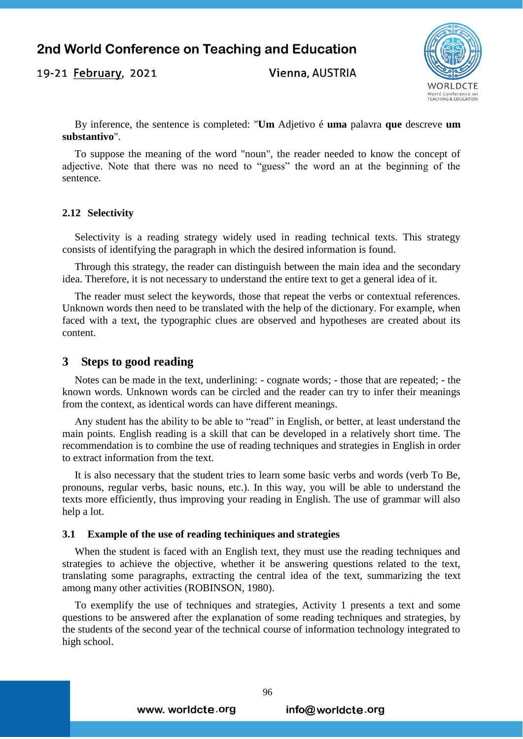19-21 February, 2021

Vienna, AUSTRIA



By inference, the sentence is completed: "**Um** Adjetivo é **uma** palavra **que** descreve **um substantivo**".

To suppose the meaning of the word "noun", the reader needed to know the concept of adjective. Note that there was no need to "guess" the word an at the beginning of the sentence.

#### **2.12 Selectivity**

Selectivity is a reading strategy widely used in reading technical texts. This strategy consists of identifying the paragraph in which the desired information is found.

Through this strategy, the reader can distinguish between the main idea and the secondary idea. Therefore, it is not necessary to understand the entire text to get a general idea of it.

The reader must select the keywords, those that repeat the verbs or contextual references. Unknown words then need to be translated with the help of the dictionary. For example, when faced with a text, the typographic clues are observed and hypotheses are created about its content.

## **3 Steps to good reading**

Notes can be made in the text, underlining: - cognate words; - those that are repeated; - the known words. Unknown words can be circled and the reader can try to infer their meanings from the context, as identical words can have different meanings.

Any student has the ability to be able to "read" in English, or better, at least understand the main points. English reading is a skill that can be developed in a relatively short time. The recommendation is to combine the use of reading techniques and strategies in English in order to extract information from the text.

It is also necessary that the student tries to learn some basic verbs and words (verb To Be, pronouns, regular verbs, basic nouns, etc.). In this way, you will be able to understand the texts more efficiently, thus improving your reading in English. The use of grammar will also help a lot.

#### **3.1 Example of the use of reading techiniques and strategies**

When the student is faced with an English text, they must use the reading techniques and strategies to achieve the objective, whether it be answering questions related to the text, translating some paragraphs, extracting the central idea of the text, summarizing the text among many other activities (ROBINSON, 1980).

To exemplify the use of techniques and strategies, Activity 1 presents a text and some questions to be answered after the explanation of some reading techniques and strategies, by the students of the second year of the technical course of information technology integrated to high school.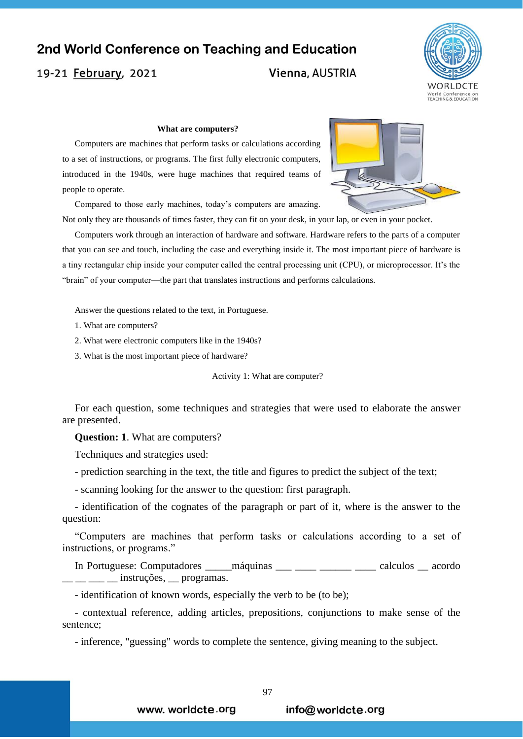19-21 February, 2021

# Vienna, AUSTRIA



#### **What are computers?**

Computers are machines that perform tasks or calculations according to a set of instructions, or programs. The first fully electronic computers, introduced in the 1940s, were huge machines that required teams of people to operate.

Compared to those early machines, today's computers are amazing.



Not only they are thousands of times faster, they can fit on your desk, in your lap, or even in your pocket.

Computers work through an interaction of hardware and software. Hardware refers to the parts of a computer that you can see and touch, including the case and everything inside it. The most important piece of hardware is a tiny rectangular chip inside your computer called the central processing unit (CPU), or microprocessor. It's the "brain" of your computer—the part that translates instructions and performs calculations.

Answer the questions related to the text, in Portuguese.

1. What are computers?

2. What were electronic computers like in the 1940s?

3. What is the most important piece of hardware?

Activity 1: What are computer?

For each question, some techniques and strategies that were used to elaborate the answer are presented.

**Question: 1**. What are computers?

Techniques and strategies used:

- prediction searching in the text, the title and figures to predict the subject of the text;

- scanning looking for the answer to the question: first paragraph.

- identification of the cognates of the paragraph or part of it, where is the answer to the question:

"Computers are machines that perform tasks or calculations according to a set of instructions, or programs."

In Portuguese: Computadores \_\_\_\_\_ máquinas \_\_\_ \_\_\_\_ \_\_\_\_\_ calculos \_\_ acordo \_ \_ instruções, \_ programas.

- identification of known words, especially the verb to be (to be);

- contextual reference, adding articles, prepositions, conjunctions to make sense of the sentence;

- inference, "guessing" words to complete the sentence, giving meaning to the subject.

www. worldcte.org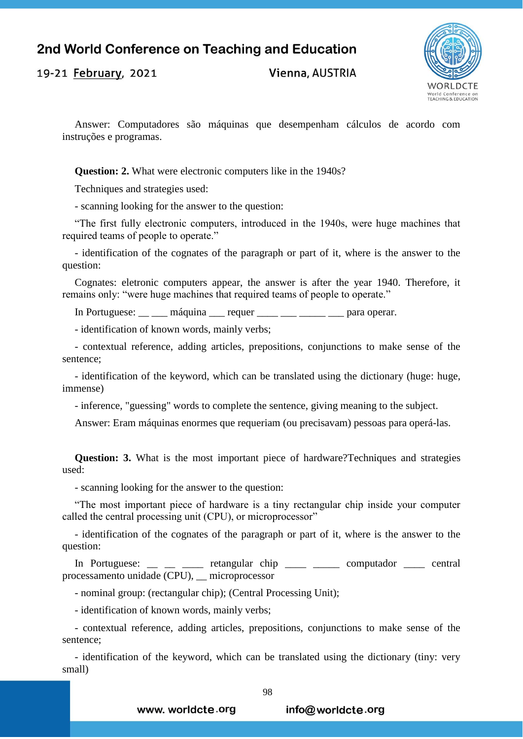19-21 February, 2021

Vienna, AUSTRIA



Answer: Computadores são máquinas que desempenham cálculos de acordo com instruções e programas.

**Question: 2.** What were electronic computers like in the 1940s?

Techniques and strategies used:

- scanning looking for the answer to the question:

"The first fully electronic computers, introduced in the 1940s, were huge machines that required teams of people to operate."

- identification of the cognates of the paragraph or part of it, where is the answer to the question:

Cognates: eletronic computers appear, the answer is after the year 1940. Therefore, it remains only: "were huge machines that required teams of people to operate."

In Portuguese: máquina requer <u>para operar</u>.

- identification of known words, mainly verbs;

- contextual reference, adding articles, prepositions, conjunctions to make sense of the sentence;

- identification of the keyword, which can be translated using the dictionary (huge: huge, immense)

- inference, "guessing" words to complete the sentence, giving meaning to the subject.

Answer: Eram máquinas enormes que requeriam (ou precisavam) pessoas para operá-las.

**Question: 3.** What is the most important piece of hardware?Techniques and strategies used:

- scanning looking for the answer to the question:

"The most important piece of hardware is a tiny rectangular chip inside your computer called the central processing unit (CPU), or microprocessor"

- identification of the cognates of the paragraph or part of it, where is the answer to the question:

In Portuguese: \_\_ \_ \_ \_ \_ retangular chip \_\_\_\_ \_ computador \_ central processamento unidade (CPU), \_\_ microprocessor

- nominal group: (rectangular chip); (Central Processing Unit);

- identification of known words, mainly verbs;

- contextual reference, adding articles, prepositions, conjunctions to make sense of the sentence;

- identification of the keyword, which can be translated using the dictionary (tiny: very small)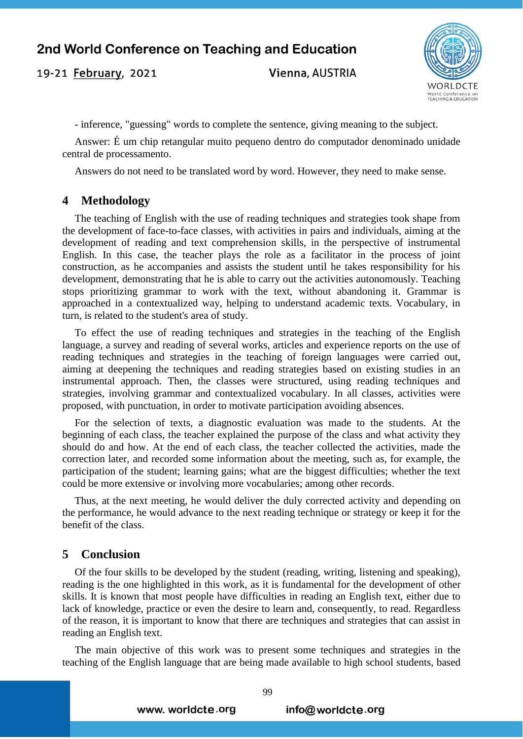19-21 February, 2021

Vienna, AUSTRIA



- inference, "guessing" words to complete the sentence, giving meaning to the subject.

Answer: É um chip retangular muito pequeno dentro do computador denominado unidade central de processamento.

Answers do not need to be translated word by word. However, they need to make sense.

## **4 Methodology**

The teaching of English with the use of reading techniques and strategies took shape from the development of face-to-face classes, with activities in pairs and individuals, aiming at the development of reading and text comprehension skills, in the perspective of instrumental English. In this case, the teacher plays the role as a facilitator in the process of joint construction, as he accompanies and assists the student until he takes responsibility for his development, demonstrating that he is able to carry out the activities autonomously. Teaching stops prioritizing grammar to work with the text, without abandoning it. Grammar is approached in a contextualized way, helping to understand academic texts. Vocabulary, in turn, is related to the student's area of study.

To effect the use of reading techniques and strategies in the teaching of the English language, a survey and reading of several works, articles and experience reports on the use of reading techniques and strategies in the teaching of foreign languages were carried out, aiming at deepening the techniques and reading strategies based on existing studies in an instrumental approach. Then, the classes were structured, using reading techniques and strategies, involving grammar and contextualized vocabulary. In all classes, activities were proposed, with punctuation, in order to motivate participation avoiding absences.

For the selection of texts, a diagnostic evaluation was made to the students. At the beginning of each class, the teacher explained the purpose of the class and what activity they should do and how. At the end of each class, the teacher collected the activities, made the correction later, and recorded some information about the meeting, such as, for example, the participation of the student; learning gains; what are the biggest difficulties; whether the text could be more extensive or involving more vocabularies; among other records.

Thus, at the next meeting, he would deliver the duly corrected activity and depending on the performance, he would advance to the next reading technique or strategy or keep it for the benefit of the class.

# **5 Conclusion**

Of the four skills to be developed by the student (reading, writing, listening and speaking), reading is the one highlighted in this work, as it is fundamental for the development of other skills. It is known that most people have difficulties in reading an English text, either due to lack of knowledge, practice or even the desire to learn and, consequently, to read. Regardless of the reason, it is important to know that there are techniques and strategies that can assist in reading an English text.

The main objective of this work was to present some techniques and strategies in the teaching of the English language that are being made available to high school students, based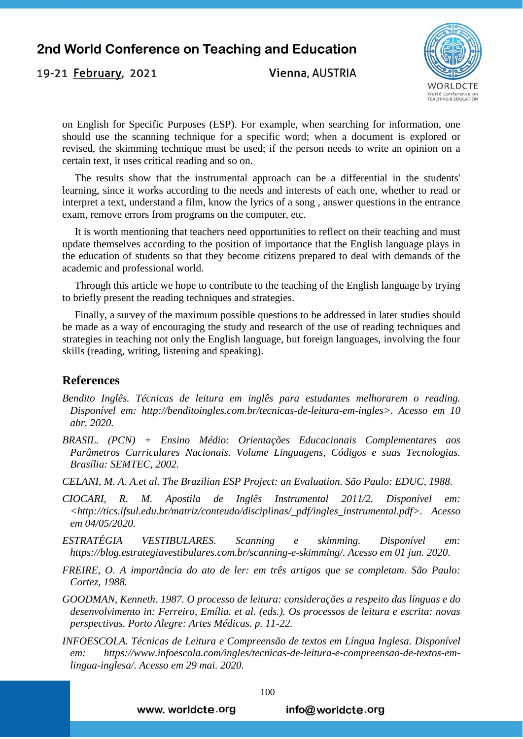Vienna, AUSTRIA



on English for Specific Purposes (ESP). For example, when searching for information, one should use the scanning technique for a specific word; when a document is explored or revised, the skimming technique must be used; if the person needs to write an opinion on a certain text, it uses critical reading and so on.

The results show that the instrumental approach can be a differential in the students' learning, since it works according to the needs and interests of each one, whether to read or interpret a text, understand a film, know the lyrics of a song , answer questions in the entrance exam, remove errors from programs on the computer, etc.

It is worth mentioning that teachers need opportunities to reflect on their teaching and must update themselves according to the position of importance that the English language plays in the education of students so that they become citizens prepared to deal with demands of the academic and professional world.

Through this article we hope to contribute to the teaching of the English language by trying to briefly present the reading techniques and strategies.

Finally, a survey of the maximum possible questions to be addressed in later studies should be made as a way of encouraging the study and research of the use of reading techniques and strategies in teaching not only the English language, but foreign languages, involving the four skills (reading, writing, listening and speaking).

# **References**

19-21 February, 2021

- *Bendito Inglês. Técnicas de leitura em inglês para estudantes melhorarem o reading. Disponível em: http://benditoingles.com.br/tecnicas-de-leitura-em-ingles>. Acesso em 10 abr. 2020.*
- *BRASIL. (PCN) + Ensino Médio: Orientações Educacionais Complementares aos Parâmetros Curriculares Nacionais. Volume Linguagens, Códigos e suas Tecnologias. Brasília: SEMTEC, 2002.*
- *CELANI, M. A. A.et al. The Brazilian ESP Project: an Evaluation. São Paulo: EDUC, 1988.*
- *CIOCARI, R. M. Apostila de Inglês Instrumental 2011/2. Disponível em: [<http://tics.ifsul.edu.br/matriz/conteudo/disciplinas/\\_pdf/ingles\\_instrumental.pdf>](http://tics.ifsul.edu.br/matriz/conteudo/disciplinas/_pdf/ingles_instrumental.pdf). Acesso em 04/05/2020.*
- *ESTRATÉGIA VESTIBULARES. Scanning e skimming. Disponível em: [https://blog.estrategiavestibulares.com.br/scanning-e-skimming/.](https://blog.estrategiavestibulares.com.br/scanning-e-skimming/) Acesso em 01 jun. 2020.*
- *FREIRE, O. A importância do ato de ler: em três artigos que se completam. São Paulo: Cortez, 1988.*
- *GOODMAN, Kenneth. 1987. O processo de leitura: considerações a respeito das línguas e do desenvolvimento in: Ferreiro, Emília. et al. (eds.). Os processos de leitura e escrita: novas perspectivas. Porto Alegre: Artes Médicas. p. 11-22.*
- *INFOESCOLA. Técnicas de Leitura e Compreensão de textos em Língua Inglesa. Disponível em: [https://www.infoescola.com/ingles/tecnicas-de-leitura-e-compreensao-de-textos-em](https://www.infoescola.com/ingles/tecnicas-de-leitura-e-compreensao-de-textos-em-lingua-inglesa/)[lingua-inglesa/.](https://www.infoescola.com/ingles/tecnicas-de-leitura-e-compreensao-de-textos-em-lingua-inglesa/) Acesso em 29 mai. 2020.*

info@worldcte.org